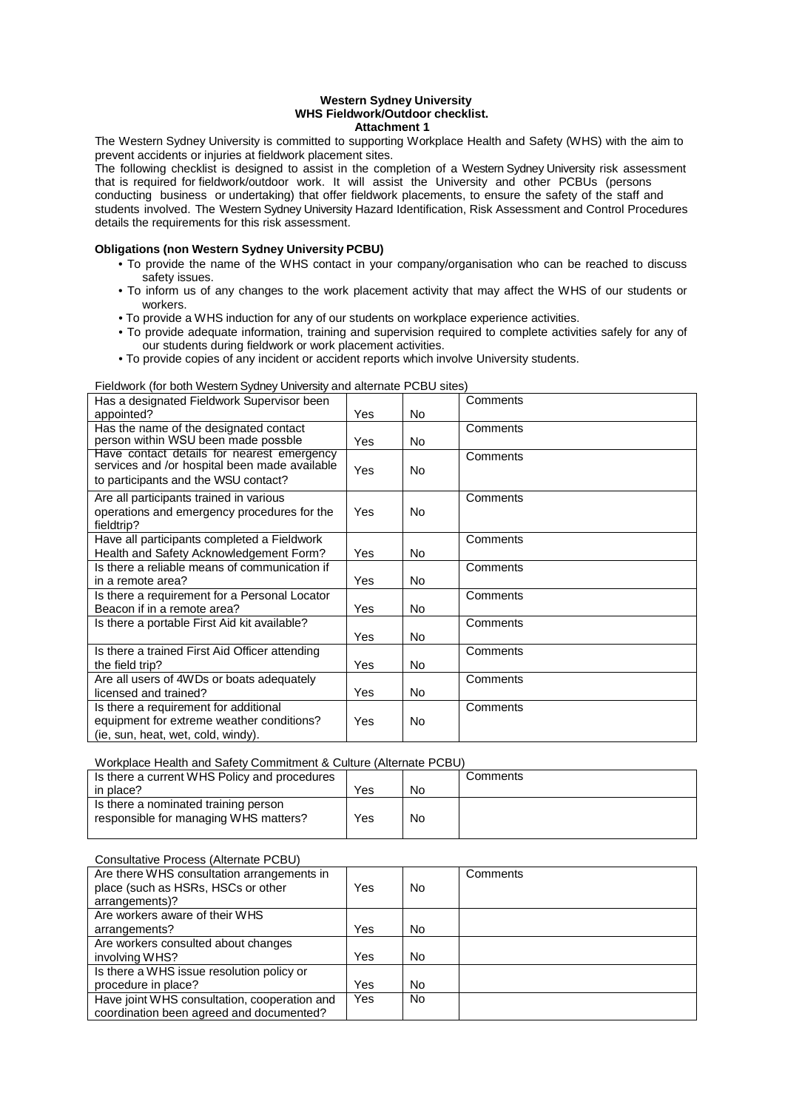#### **Western Sydney University WHS Fieldwork/Outdoor checklist. Attachment 1**

The Western Sydney University is committed to supporting Workplace Health and Safety (WHS) with the aim to prevent accidents or injuries at fieldwork placement sites.

The following checklist is designed to assist in the completion of a Western Sydney University risk assessment that is required for fieldwork/outdoor work. It will assist the University and other PCBUs (persons conducting business or undertaking) that offer fieldwork placements, to ensure the safety of the staff and students involved. The Western Sydney University Hazard Identification, Risk Assessment and Control Procedures details the requirements for this risk assessment.

## **Obligations (non Western Sydney University PCBU)**

- To provide the name of the WHS contact in your company/organisation who can be reached to discuss safety issues.
- To inform us of any changes to the work placement activity that may affect the WHS of our students or workers.
- To provide a WHS induction for any of our students on workplace experience activities.
- To provide adequate information, training and supervision required to complete activities safely for any of our students during fieldwork or work placement activities.
- To provide copies of any incident or accident reports which involve University students.

### Fieldwork (for both Western Sydney University and alternate PCBU sites)

| Has a designated Fieldwork Supervisor been                                                                                          |            |     | Comments |
|-------------------------------------------------------------------------------------------------------------------------------------|------------|-----|----------|
| appointed?                                                                                                                          | Yes        | No. |          |
| Has the name of the designated contact                                                                                              |            |     | Comments |
| person within WSU been made possble                                                                                                 | <b>Yes</b> | No. |          |
| Have contact details for nearest emergency<br>services and /or hospital been made available<br>to participants and the WSU contact? | Yes        | No  | Comments |
| Are all participants trained in various                                                                                             |            |     | Comments |
| operations and emergency procedures for the<br>fieldtrip?                                                                           | Yes        | No  |          |
| Have all participants completed a Fieldwork                                                                                         |            |     | Comments |
| Health and Safety Acknowledgement Form?                                                                                             | Yes        | No. |          |
| Is there a reliable means of communication if                                                                                       |            |     | Comments |
| in a remote area?                                                                                                                   | Yes        | No. |          |
| Is there a requirement for a Personal Locator                                                                                       |            |     | Comments |
| Beacon if in a remote area?                                                                                                         | Yes        | No. |          |
| Is there a portable First Aid kit available?                                                                                        |            |     | Comments |
|                                                                                                                                     | Yes        | No. |          |
| Is there a trained First Aid Officer attending                                                                                      |            |     | Comments |
| the field trip?                                                                                                                     | Yes        | No  |          |
| Are all users of 4WDs or boats adequately                                                                                           |            |     | Comments |
| licensed and trained?                                                                                                               | Yes        | No  |          |
| Is there a requirement for additional                                                                                               |            |     | Comments |
| equipment for extreme weather conditions?                                                                                           | Yes        | No  |          |
| (ie, sun, heat, wet, cold, windy).                                                                                                  |            |     |          |

### Workplace Health and Safety Commitment & Culture (Alternate PCBU)

| Is there a current WHS Policy and procedures                                  |     |    | Comments |
|-------------------------------------------------------------------------------|-----|----|----------|
| in place?                                                                     | Yes | No |          |
| Is there a nominated training person<br>responsible for managing WHS matters? | Yes | No |          |

### Consultative Process (Alternate PCBU)

| Are there WHS consultation arrangements in   |            |    | Comments |
|----------------------------------------------|------------|----|----------|
| place (such as HSRs, HSCs or other           | Yes        | No |          |
| arrangements)?                               |            |    |          |
| Are workers aware of their WHS               |            |    |          |
| arrangements?                                | Yes        | No |          |
| Are workers consulted about changes          |            |    |          |
| involving WHS?                               | Yes        | No |          |
| Is there a WHS issue resolution policy or    |            |    |          |
| procedure in place?                          | Yes        | No |          |
| Have joint WHS consultation, cooperation and | <b>Yes</b> | No |          |
| coordination been agreed and documented?     |            |    |          |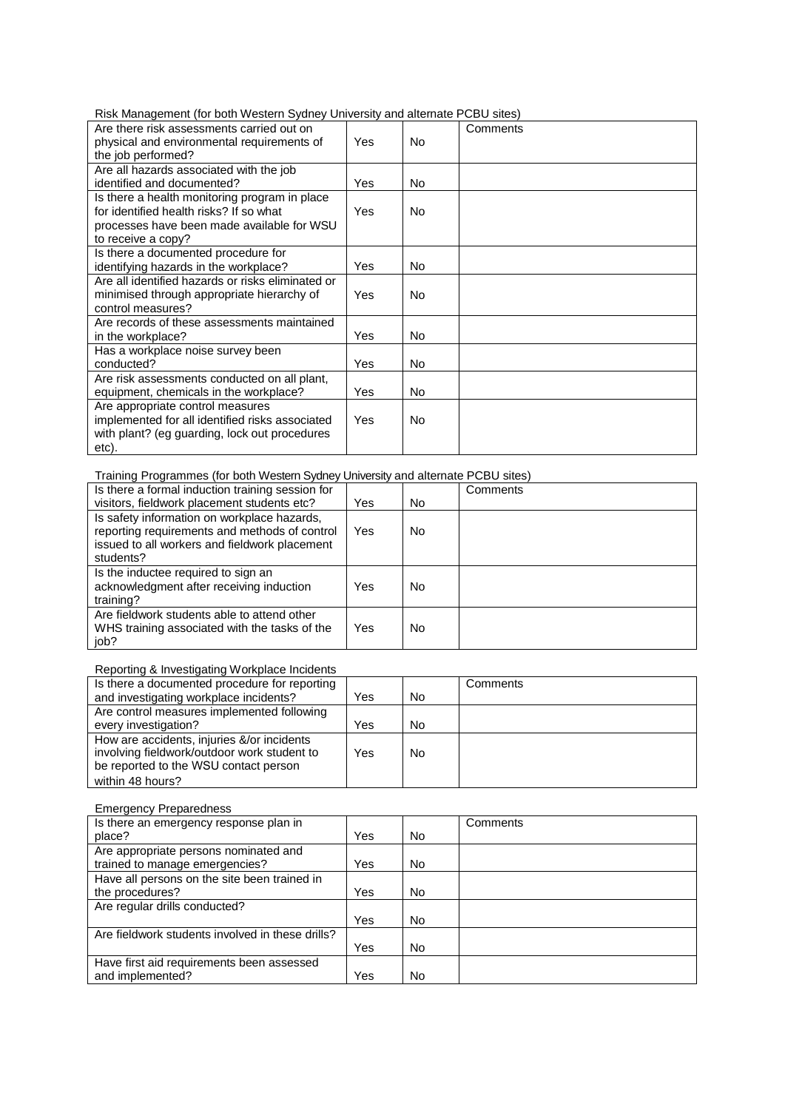Risk Management (for both Western Sydney University and alternate PCBU sites)

| Are there risk assessments carried out on         |     |     | Comments |
|---------------------------------------------------|-----|-----|----------|
| physical and environmental requirements of        | Yes | No. |          |
| the job performed?                                |     |     |          |
| Are all hazards associated with the job           |     |     |          |
| identified and documented?                        | Yes | No. |          |
| Is there a health monitoring program in place     |     |     |          |
| for identified health risks? If so what           | Yes | No. |          |
| processes have been made available for WSU        |     |     |          |
| to receive a copy?                                |     |     |          |
| Is there a documented procedure for               |     |     |          |
| identifying hazards in the workplace?             | Yes | No. |          |
| Are all identified hazards or risks eliminated or |     |     |          |
| minimised through appropriate hierarchy of        | Yes | No. |          |
| control measures?                                 |     |     |          |
| Are records of these assessments maintained       |     |     |          |
| in the workplace?                                 | Yes | No. |          |
| Has a workplace noise survey been                 |     |     |          |
| conducted?                                        | Yes | No. |          |
| Are risk assessments conducted on all plant,      |     |     |          |
| equipment, chemicals in the workplace?            | Yes | No. |          |
| Are appropriate control measures                  |     |     |          |
| implemented for all identified risks associated   | Yes | No. |          |
| with plant? (eg guarding, lock out procedures     |     |     |          |
| etc).                                             |     |     |          |

# Training Programmes (for both Western Sydney University and alternate PCBU sites)

| Is there a formal induction training session for                                                                                                           |     |     | Comments |
|------------------------------------------------------------------------------------------------------------------------------------------------------------|-----|-----|----------|
| visitors, fieldwork placement students etc?                                                                                                                | Yes | No. |          |
| Is safety information on workplace hazards,<br>reporting requirements and methods of control<br>issued to all workers and fieldwork placement<br>students? | Yes | No  |          |
| Is the inductee required to sign an<br>acknowledgment after receiving induction<br>training?                                                               | Yes | No  |          |
| Are fieldwork students able to attend other<br>WHS training associated with the tasks of the<br>iob?                                                       | Yes | No  |          |

# Reporting & Investigating Workplace Incidents

| Is there a documented procedure for reporting |     |                | Comments |
|-----------------------------------------------|-----|----------------|----------|
| and investigating workplace incidents?        | Yes | N <sub>0</sub> |          |
| Are control measures implemented following    |     |                |          |
| every investigation?                          | Yes | No             |          |
| How are accidents, injuries &/or incidents    |     |                |          |
| involving fieldwork/outdoor work student to   | Yes | N <sub>0</sub> |          |
| be reported to the WSU contact person         |     |                |          |
| within 48 hours?                              |     |                |          |

## Emergency Preparedness

| Is there an emergency response plan in           |     |           | Comments |
|--------------------------------------------------|-----|-----------|----------|
| place?                                           | Yes | <b>No</b> |          |
| Are appropriate persons nominated and            |     |           |          |
| trained to manage emergencies?                   | Yes | No        |          |
| Have all persons on the site been trained in     |     |           |          |
| the procedures?                                  | Yes | No        |          |
| Are regular drills conducted?                    |     |           |          |
|                                                  | Yes | No        |          |
| Are fieldwork students involved in these drills? |     |           |          |
|                                                  | Yes | No        |          |
| Have first aid requirements been assessed        |     |           |          |
| and implemented?                                 | Yes | No        |          |